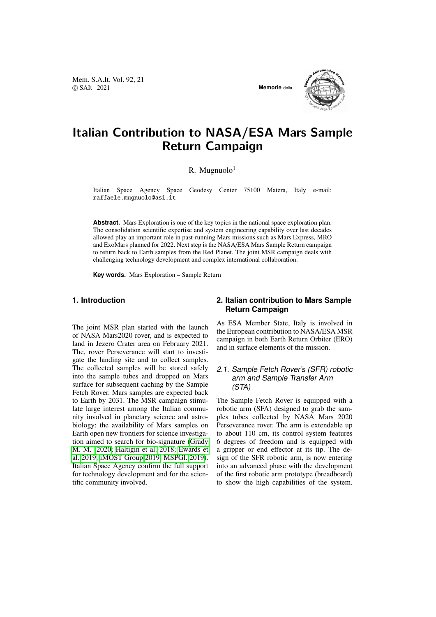Mem. S.A.It. Vol. 92, 21 © SAIt 2021 **Memorie** della



# Italian Contribution to NASA/ESA Mars Sample Return Campaign

R. Mugnuolo $<sup>1</sup>$ </sup>

Italian Space Agency Space Geodesy Center 75100 Matera, Italy e-mail: raffaele.mugnuolo@asi.it

**Abstract.** Mars Exploration is one of the key topics in the national space exploration plan. The consolidation scientific expertise and system engineering capability over last decades allowed play an important role in past-running Mars missions such as Mars Express, MRO and ExoMars planned for 2022. Next step is the NASA/ESA Mars Sample Return campaign to return back to Earth samples from the Red Planet. The joint MSR campaign deals with challenging technology development and complex international collaboration.

**Key words.** Mars Exploration – Sample Return

# **1. Introduction**

The joint MSR plan started with the launch of NASA Mars2020 rover, and is expected to land in Jezero Crater area on February 2021. The, rover Perseverance will start to investigate the landing site and to collect samples. The collected samples will be stored safely into the sample tubes and dropped on Mars surface for subsequent caching by the Sample Fetch Rover. Mars samples are expected back to Earth by 2031. The MSR campaign stimulate large interest among the Italian community involved in planetary science and astrobiology: the availability of Mars samples on Earth open new frontiers for science investigation aimed to search for bio-signature [\(Grady](#page-1-0) [M. M. 2020;](#page-1-0) [Haltigin et al. 2018;](#page-1-1) [Ewards et](#page-1-2) [al. 2019;](#page-1-2) [iMOST Group 2019;](#page-1-3) [MSPGl. 2019\)](#page-1-4). Italian Space Agency confirm the full support for technology development and for the scientific community involved.

## **2. Italian contribution to Mars Sample Return Campaign**

As ESA Member State, Italy is involved in the European contribution to NASA/ESA MSR campaign in both Earth Return Orbiter (ERO) and in surface elements of the mission.

## 2.1. Sample Fetch Rover's (SFR) robotic arm and Sample Transfer Arm (STA)

The Sample Fetch Rover is equipped with a robotic arm (SFA) designed to grab the samples tubes collected by NASA Mars 2020 Perseverance rover. The arm is extendable up to about 110 cm, its control system features 6 degrees of freedom and is equipped with a gripper or end effector at its tip. The design of the SFR robotic arm, is now entering into an advanced phase with the development of the first robotic arm prototype (breadboard) to show the high capabilities of the system.